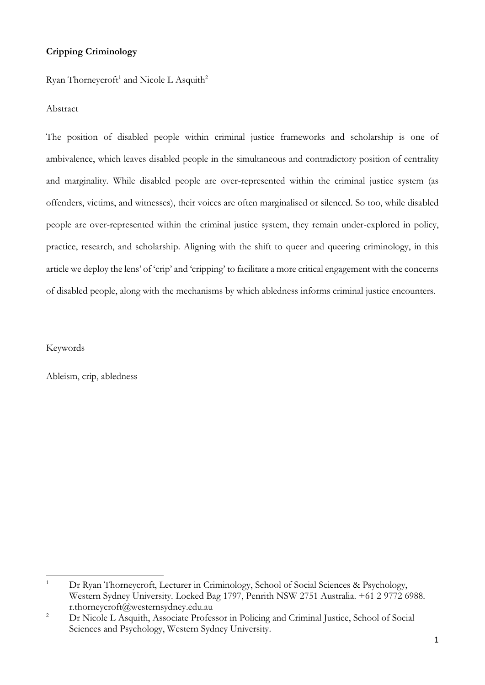# **Cripping Criminology**

Ryan Thorneycroft<sup>1</sup> and Nicole L Asquith<sup>2</sup>

# Abstract

The position of disabled people within criminal justice frameworks and scholarship is one of ambivalence, which leaves disabled people in the simultaneous and contradictory position of centrality and marginality. While disabled people are over-represented within the criminal justice system (as offenders, victims, and witnesses), their voices are often marginalised or silenced. So too, while disabled people are over-represented within the criminal justice system, they remain under-explored in policy, practice, research, and scholarship. Aligning with the shift to queer and queering criminology, in this article we deploy the lens' of 'crip' and 'cripping' to facilitate a more critical engagement with the concerns of disabled people, along with the mechanisms by which abledness informs criminal justice encounters.

# Keywords

Ableism, crip, abledness

<sup>&</sup>lt;sup>1</sup> Dr Ryan Thorneycroft, Lecturer in Criminology, School of Social Sciences & Psychology, Western Sydney University. Locked Bag 1797, Penrith NSW 2751 Australia. +61 2 9772 6988. r.thorneycroft@westernsydney.edu.au

<sup>&</sup>lt;sup>2</sup> Dr Nicole L Asquith, Associate Professor in Policing and Criminal Justice, School of Social Sciences and Psychology, Western Sydney University.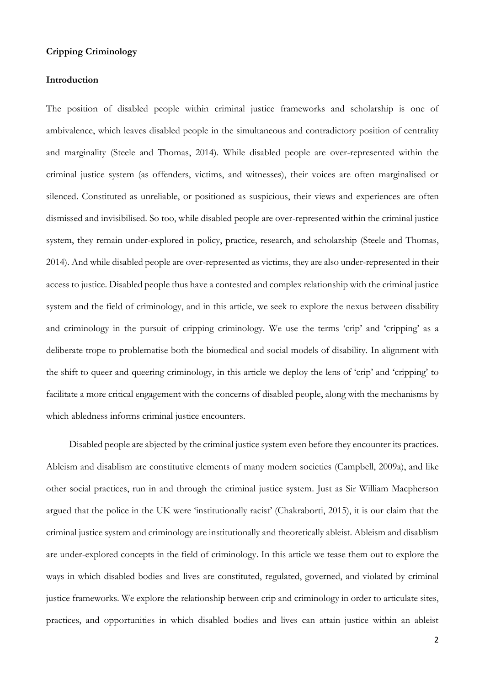# **Cripping Criminology**

#### **Introduction**

The position of disabled people within criminal justice frameworks and scholarship is one of ambivalence, which leaves disabled people in the simultaneous and contradictory position of centrality and marginality (Steele and Thomas, 2014). While disabled people are over-represented within the criminal justice system (as offenders, victims, and witnesses), their voices are often marginalised or silenced. Constituted as unreliable, or positioned as suspicious, their views and experiences are often dismissed and invisibilised. So too, while disabled people are over-represented within the criminal justice system, they remain under-explored in policy, practice, research, and scholarship (Steele and Thomas, 2014). And while disabled people are over-represented as victims, they are also under-represented in their access to justice. Disabled people thus have a contested and complex relationship with the criminal justice system and the field of criminology, and in this article, we seek to explore the nexus between disability and criminology in the pursuit of cripping criminology. We use the terms 'crip' and 'cripping' as a deliberate trope to problematise both the biomedical and social models of disability. In alignment with the shift to queer and queering criminology, in this article we deploy the lens of 'crip' and 'cripping' to facilitate a more critical engagement with the concerns of disabled people, along with the mechanisms by which abledness informs criminal justice encounters.

Disabled people are abjected by the criminal justice system even before they encounter its practices. Ableism and disablism are constitutive elements of many modern societies (Campbell, 2009a), and like other social practices, run in and through the criminal justice system. Just as Sir William Macpherson argued that the police in the UK were 'institutionally racist' (Chakraborti, 2015), it is our claim that the criminal justice system and criminology are institutionally and theoretically ableist. Ableism and disablism are under-explored concepts in the field of criminology. In this article we tease them out to explore the ways in which disabled bodies and lives are constituted, regulated, governed, and violated by criminal justice frameworks. We explore the relationship between crip and criminology in order to articulate sites, practices, and opportunities in which disabled bodies and lives can attain justice within an ableist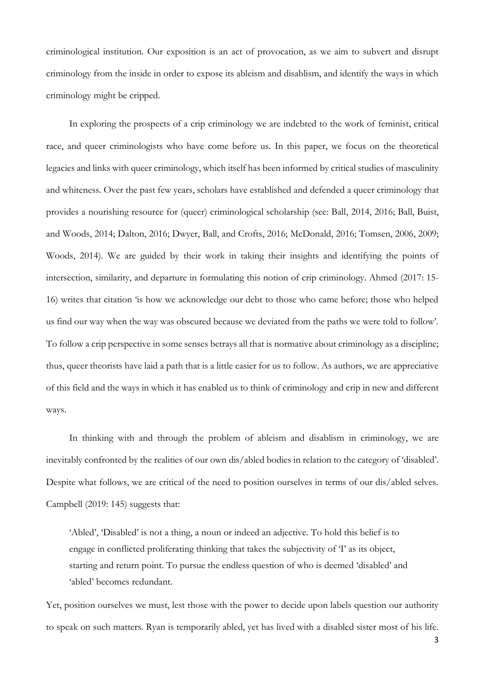criminological institution. Our exposition is an act of provocation, as we aim to subvert and disrupt criminology from the inside in order to expose its ableism and disablism, and identify the ways in which criminology might be cripped.

In exploring the prospects of a crip criminology we are indebted to the work of feminist, critical race, and queer criminologists who have come before us. In this paper, we focus on the theoretical legacies and links with queer criminology, which itself has been informed by critical studies of masculinity and whiteness. Over the past few years, scholars have established and defended a queer criminology that provides a nourishing resource for (queer) criminological scholarship (see: Ball, 2014, 2016; Ball, Buist, and Woods, 2014; Dalton, 2016; Dwyer, Ball, and Crofts, 2016; McDonald, 2016; Tomsen, 2006, 2009; Woods, 2014). We are guided by their work in taking their insights and identifying the points of intersection, similarity, and departure in formulating this notion of crip criminology. Ahmed (2017: 15- 16) writes that citation 'is how we acknowledge our debt to those who came before; those who helped us find our way when the way was obscured because we deviated from the paths we were told to follow'. To follow a crip perspective in some senses betrays all that is normative about criminology as a discipline; thus, queer theorists have laid a path that is a little easier for us to follow. As authors, we are appreciative of this field and the ways in which it has enabled us to think of criminology and crip in new and different ways.

In thinking with and through the problem of ableism and disablism in criminology, we are inevitably confronted by the realities of our own dis/abled bodies in relation to the category of 'disabled'. Despite what follows, we are critical of the need to position ourselves in terms of our dis/abled selves. Campbell (2019: 145) suggests that:

'Abled', 'Disabled' is not a thing, a noun or indeed an adjective. To hold this belief is to engage in conflicted proliferating thinking that takes the subjectivity of 'I' as its object, starting and return point. To pursue the endless question of who is deemed 'disabled' and 'abled' becomes redundant.

Yet, position ourselves we must, lest those with the power to decide upon labels question our authority to speak on such matters. Ryan is temporarily abled, yet has lived with a disabled sister most of his life.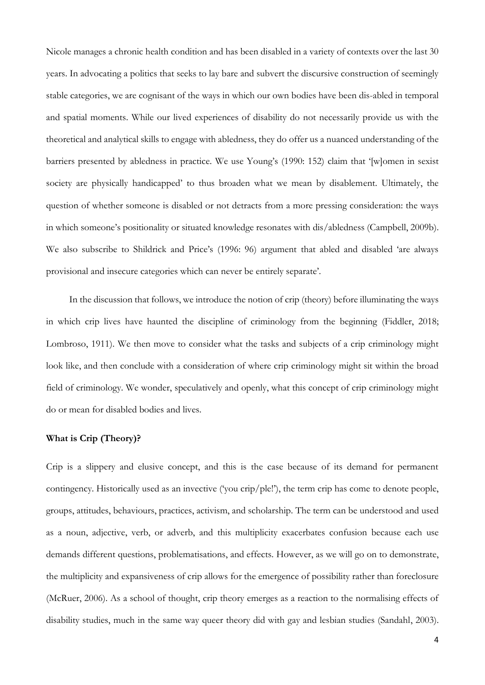Nicole manages a chronic health condition and has been disabled in a variety of contexts over the last 30 years. In advocating a politics that seeks to lay bare and subvert the discursive construction of seemingly stable categories, we are cognisant of the ways in which our own bodies have been dis-abled in temporal and spatial moments. While our lived experiences of disability do not necessarily provide us with the theoretical and analytical skills to engage with abledness, they do offer us a nuanced understanding of the barriers presented by abledness in practice. We use Young's (1990: 152) claim that '[w]omen in sexist society are physically handicapped' to thus broaden what we mean by disablement. Ultimately, the question of whether someone is disabled or not detracts from a more pressing consideration: the ways in which someone's positionality or situated knowledge resonates with dis/abledness (Campbell, 2009b). We also subscribe to Shildrick and Price's (1996: 96) argument that abled and disabled 'are always provisional and insecure categories which can never be entirely separate'.

In the discussion that follows, we introduce the notion of crip (theory) before illuminating the ways in which crip lives have haunted the discipline of criminology from the beginning (Fiddler, 2018; Lombroso, 1911). We then move to consider what the tasks and subjects of a crip criminology might look like, and then conclude with a consideration of where crip criminology might sit within the broad field of criminology. We wonder, speculatively and openly, what this concept of crip criminology might do or mean for disabled bodies and lives.

### **What is Crip (Theory)?**

Crip is a slippery and elusive concept, and this is the case because of its demand for permanent contingency. Historically used as an invective ('you crip/ple!'), the term crip has come to denote people, groups, attitudes, behaviours, practices, activism, and scholarship. The term can be understood and used as a noun, adjective, verb, or adverb, and this multiplicity exacerbates confusion because each use demands different questions, problematisations, and effects. However, as we will go on to demonstrate, the multiplicity and expansiveness of crip allows for the emergence of possibility rather than foreclosure (McRuer, 2006). As a school of thought, crip theory emerges as a reaction to the normalising effects of disability studies, much in the same way queer theory did with gay and lesbian studies (Sandahl, 2003).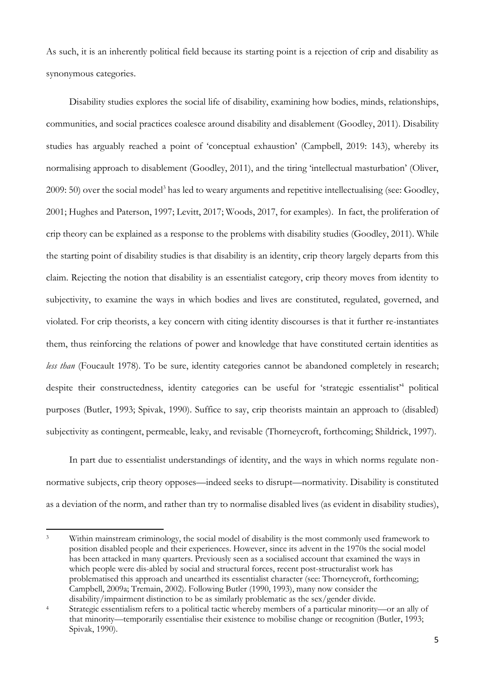As such, it is an inherently political field because its starting point is a rejection of crip and disability as synonymous categories.

Disability studies explores the social life of disability, examining how bodies, minds, relationships, communities, and social practices coalesce around disability and disablement (Goodley, 2011). Disability studies has arguably reached a point of 'conceptual exhaustion' (Campbell, 2019: 143), whereby its normalising approach to disablement (Goodley, 2011), and the tiring 'intellectual masturbation' (Oliver,  $2009: 50$ ) over the social model<sup>3</sup> has led to weary arguments and repetitive intellectualising (see: Goodley, 2001; Hughes and Paterson, 1997; Levitt, 2017; Woods, 2017, for examples). In fact, the proliferation of crip theory can be explained as a response to the problems with disability studies (Goodley, 2011). While the starting point of disability studies is that disability is an identity, crip theory largely departs from this claim. Rejecting the notion that disability is an essentialist category, crip theory moves from identity to subjectivity, to examine the ways in which bodies and lives are constituted, regulated, governed, and violated. For crip theorists, a key concern with citing identity discourses is that it further re-instantiates them, thus reinforcing the relations of power and knowledge that have constituted certain identities as *less than* (Foucault 1978). To be sure, identity categories cannot be abandoned completely in research; despite their constructedness, identity categories can be useful for 'strategic essentialist'<sup>4</sup> political purposes (Butler, 1993; Spivak, 1990). Suffice to say, crip theorists maintain an approach to (disabled) subjectivity as contingent, permeable, leaky, and revisable (Thorneycroft, forthcoming; Shildrick, 1997).

In part due to essentialist understandings of identity, and the ways in which norms regulate nonnormative subjects, crip theory opposes—indeed seeks to disrupt—normativity. Disability is constituted as a deviation of the norm, and rather than try to normalise disabled lives (as evident in disability studies),

<sup>&</sup>lt;sup>3</sup> Within mainstream criminology, the social model of disability is the most commonly used framework to position disabled people and their experiences. However, since its advent in the 1970s the social model has been attacked in many quarters. Previously seen as a socialised account that examined the ways in which people were dis-abled by social and structural forces, recent post-structuralist work has problematised this approach and unearthed its essentialist character (see: Thorneycroft, forthcoming; Campbell, 2009a; Tremain, 2002). Following Butler (1990, 1993), many now consider the disability/impairment distinction to be as similarly problematic as the sex/gender divide.

<sup>4</sup> Strategic essentialism refers to a political tactic whereby members of a particular minority—or an ally of that minority—temporarily essentialise their existence to mobilise change or recognition (Butler, 1993; Spivak, 1990).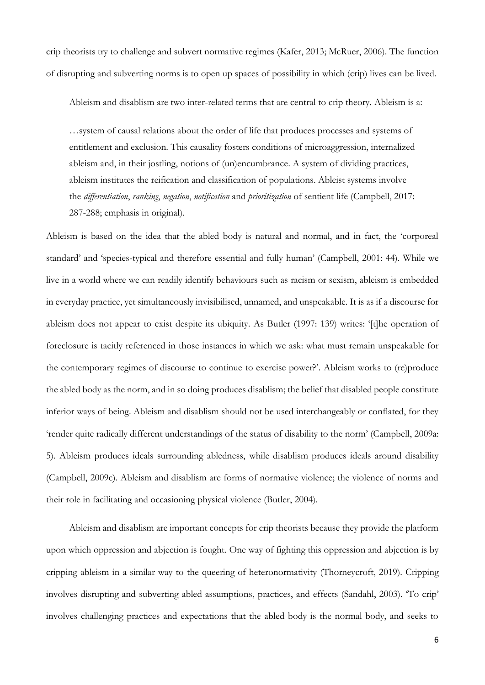crip theorists try to challenge and subvert normative regimes (Kafer, 2013; McRuer, 2006). The function of disrupting and subverting norms is to open up spaces of possibility in which (crip) lives can be lived.

Ableism and disablism are two inter-related terms that are central to crip theory. Ableism is a:

…system of causal relations about the order of life that produces processes and systems of entitlement and exclusion. This causality fosters conditions of microaggression, internalized ableism and, in their jostling, notions of (un)encumbrance. A system of dividing practices, ableism institutes the reification and classification of populations. Ableist systems involve the *differentiation*, *ranking*, *negation*, *notification* and *prioritization* of sentient life (Campbell, 2017: 287-288; emphasis in original).

Ableism is based on the idea that the abled body is natural and normal, and in fact, the 'corporeal standard' and 'species-typical and therefore essential and fully human' (Campbell, 2001: 44). While we live in a world where we can readily identify behaviours such as racism or sexism, ableism is embedded in everyday practice, yet simultaneously invisibilised, unnamed, and unspeakable. It is as if a discourse for ableism does not appear to exist despite its ubiquity. As Butler (1997: 139) writes: '[t]he operation of foreclosure is tacitly referenced in those instances in which we ask: what must remain unspeakable for the contemporary regimes of discourse to continue to exercise power?'. Ableism works to (re)produce the abled body as the norm, and in so doing produces disablism; the belief that disabled people constitute inferior ways of being. Ableism and disablism should not be used interchangeably or conflated, for they 'render quite radically different understandings of the status of disability to the norm' (Campbell, 2009a: 5). Ableism produces ideals surrounding abledness, while disablism produces ideals around disability (Campbell, 2009c). Ableism and disablism are forms of normative violence; the violence of norms and their role in facilitating and occasioning physical violence (Butler, 2004).

Ableism and disablism are important concepts for crip theorists because they provide the platform upon which oppression and abjection is fought. One way of fighting this oppression and abjection is by cripping ableism in a similar way to the queering of heteronormativity (Thorneycroft, 2019). Cripping involves disrupting and subverting abled assumptions, practices, and effects (Sandahl, 2003). 'To crip' involves challenging practices and expectations that the abled body is the normal body, and seeks to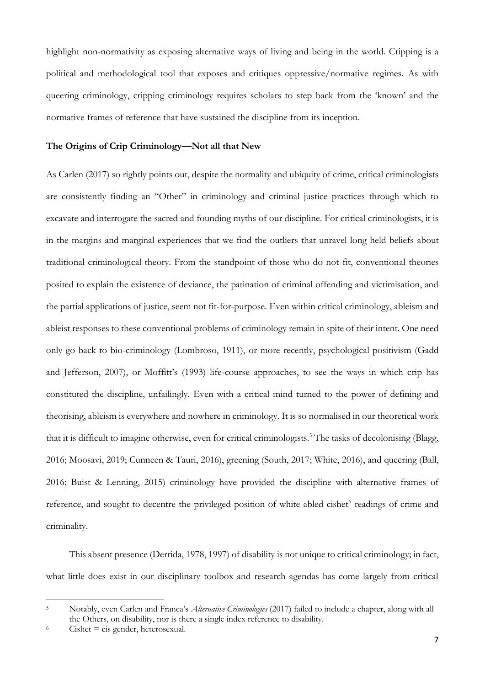highlight non-normativity as exposing alternative ways of living and being in the world. Cripping is a political and methodological tool that exposes and critiques oppressive/normative regimes. As with queering criminology, cripping criminology requires scholars to step back from the 'known' and the normative frames of reference that have sustained the discipline from its inception.

#### **The Origins of Crip Criminology—Not all that New**

As Carlen (2017) so rightly points out, despite the normality and ubiquity of crime, critical criminologists are consistently finding an "Other" in criminology and criminal justice practices through which to excavate and interrogate the sacred and founding myths of our discipline. For critical criminologists, it is in the margins and marginal experiences that we find the outliers that unravel long held beliefs about traditional criminological theory. From the standpoint of those who do not fit, conventional theories posited to explain the existence of deviance, the patination of criminal offending and victimisation, and the partial applications of justice, seem not fit-for-purpose. Even within critical criminology, ableism and ableist responses to these conventional problems of criminology remain in spite of their intent. One need only go back to bio-criminology (Lombroso, 1911), or more recently, psychological positivism (Gadd and Jefferson, 2007), or Moffitt's (1993) life-course approaches, to see the ways in which crip has constituted the discipline, unfailingly. Even with a critical mind turned to the power of defining and theorising, ableism is everywhere and nowhere in criminology. It is so normalised in our theoretical work that it is difficult to imagine otherwise, even for critical criminologists.<sup>5</sup> The tasks of decolonising (Blagg, 2016; Moosavi, 2019; Cunneen & Tauri, 2016), greening (South, 2017; White, 2016), and queering (Ball, 2016; Buist & Lenning, 2015) criminology have provided the discipline with alternative frames of reference, and sought to decentre the privileged position of white abled cishet<sup>6</sup> readings of crime and criminality.

This absent presence (Derrida, 1978, 1997) of disability is not unique to critical criminology; in fact, what little does exist in our disciplinary toolbox and research agendas has come largely from critical

<sup>5</sup> Notably, even Carlen and Franca's *Alternative Criminologies* (2017) failed to include a chapter, along with all the Others, on disability, nor is there a single index reference to disability.

 $6$  Cishet = cis gender, heterosexual.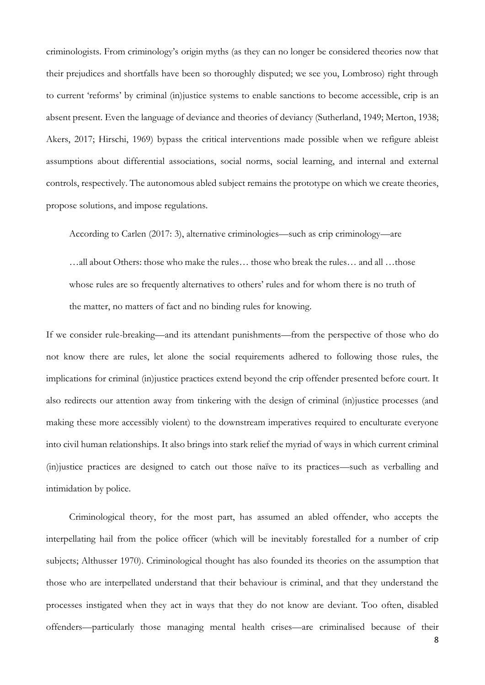criminologists. From criminology's origin myths (as they can no longer be considered theories now that their prejudices and shortfalls have been so thoroughly disputed; we see you, Lombroso) right through to current 'reforms' by criminal (in)justice systems to enable sanctions to become accessible, crip is an absent present. Even the language of deviance and theories of deviancy (Sutherland, 1949; Merton, 1938; Akers, 2017; Hirschi, 1969) bypass the critical interventions made possible when we refigure ableist assumptions about differential associations, social norms, social learning, and internal and external controls, respectively. The autonomous abled subject remains the prototype on which we create theories, propose solutions, and impose regulations.

According to Carlen (2017: 3), alternative criminologies—such as crip criminology—are

…all about Others: those who make the rules… those who break the rules… and all …those whose rules are so frequently alternatives to others' rules and for whom there is no truth of the matter, no matters of fact and no binding rules for knowing.

If we consider rule-breaking—and its attendant punishments—from the perspective of those who do not know there are rules, let alone the social requirements adhered to following those rules, the implications for criminal (in)justice practices extend beyond the crip offender presented before court. It also redirects our attention away from tinkering with the design of criminal (in)justice processes (and making these more accessibly violent) to the downstream imperatives required to enculturate everyone into civil human relationships. It also brings into stark relief the myriad of ways in which current criminal (in)justice practices are designed to catch out those naïve to its practices—such as verballing and intimidation by police.

Criminological theory, for the most part, has assumed an abled offender, who accepts the interpellating hail from the police officer (which will be inevitably forestalled for a number of crip subjects; Althusser 1970). Criminological thought has also founded its theories on the assumption that those who are interpellated understand that their behaviour is criminal, and that they understand the processes instigated when they act in ways that they do not know are deviant. Too often, disabled offenders—particularly those managing mental health crises—are criminalised because of their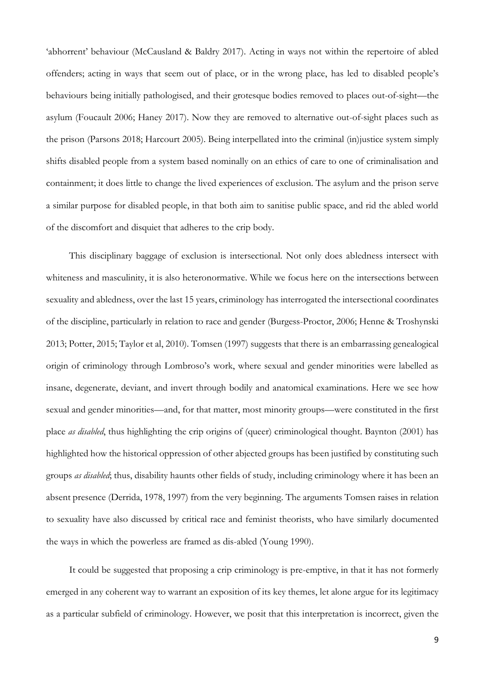'abhorrent' behaviour (McCausland & Baldry 2017). Acting in ways not within the repertoire of abled offenders; acting in ways that seem out of place, or in the wrong place, has led to disabled people's behaviours being initially pathologised, and their grotesque bodies removed to places out-of-sight—the asylum (Foucault 2006; Haney 2017). Now they are removed to alternative out-of-sight places such as the prison (Parsons 2018; Harcourt 2005). Being interpellated into the criminal (in)justice system simply shifts disabled people from a system based nominally on an ethics of care to one of criminalisation and containment; it does little to change the lived experiences of exclusion. The asylum and the prison serve a similar purpose for disabled people, in that both aim to sanitise public space, and rid the abled world of the discomfort and disquiet that adheres to the crip body.

This disciplinary baggage of exclusion is intersectional. Not only does abledness intersect with whiteness and masculinity, it is also heteronormative. While we focus here on the intersections between sexuality and abledness, over the last 15 years, criminology has interrogated the intersectional coordinates of the discipline, particularly in relation to race and gender (Burgess-Proctor, 2006; Henne & Troshynski 2013; Potter, 2015; Taylor et al, 2010). Tomsen (1997) suggests that there is an embarrassing genealogical origin of criminology through Lombroso's work, where sexual and gender minorities were labelled as insane, degenerate, deviant, and invert through bodily and anatomical examinations. Here we see how sexual and gender minorities—and, for that matter, most minority groups—were constituted in the first place *as disabled*, thus highlighting the crip origins of (queer) criminological thought. Baynton (2001) has highlighted how the historical oppression of other abjected groups has been justified by constituting such groups *as disabled*; thus, disability haunts other fields of study, including criminology where it has been an absent presence (Derrida, 1978, 1997) from the very beginning. The arguments Tomsen raises in relation to sexuality have also discussed by critical race and feminist theorists, who have similarly documented the ways in which the powerless are framed as dis-abled (Young 1990).

It could be suggested that proposing a crip criminology is pre-emptive, in that it has not formerly emerged in any coherent way to warrant an exposition of its key themes, let alone argue for its legitimacy as a particular subfield of criminology. However, we posit that this interpretation is incorrect, given the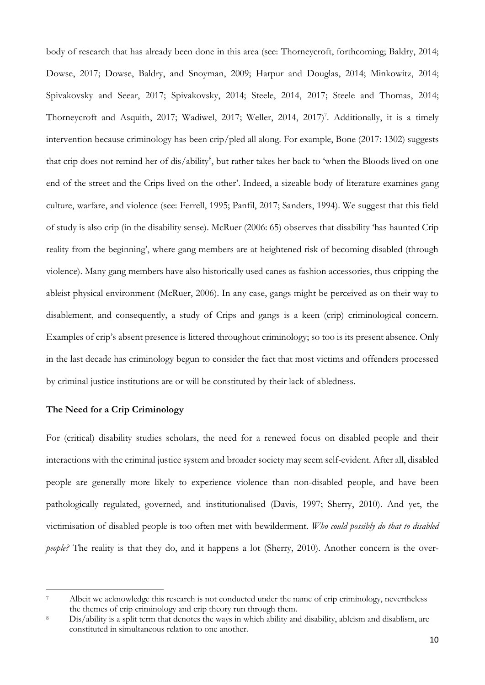body of research that has already been done in this area (see: Thorneycroft, forthcoming; Baldry, 2014; Dowse, 2017; Dowse, Baldry, and Snoyman, 2009; Harpur and Douglas, 2014; Minkowitz, 2014; Spivakovsky and Seear, 2017; Spivakovsky, 2014; Steele, 2014, 2017; Steele and Thomas, 2014; Thorneycroft and Asquith, 2017; Wadiwel, 2017; Weller, 2014, 2017)<sup>7</sup>. Additionally, it is a timely intervention because criminology has been crip/pled all along. For example, Bone (2017: 1302) suggests that crip does not remind her of dis/ability<sup>8</sup>, but rather takes her back to 'when the Bloods lived on one end of the street and the Crips lived on the other'. Indeed, a sizeable body of literature examines gang culture, warfare, and violence (see: Ferrell, 1995; Panfil, 2017; Sanders, 1994). We suggest that this field of study is also crip (in the disability sense). McRuer (2006: 65) observes that disability 'has haunted Crip reality from the beginning', where gang members are at heightened risk of becoming disabled (through violence). Many gang members have also historically used canes as fashion accessories, thus cripping the ableist physical environment (McRuer, 2006). In any case, gangs might be perceived as on their way to disablement, and consequently, a study of Crips and gangs is a keen (crip) criminological concern. Examples of crip's absent presence is littered throughout criminology; so too is its present absence. Only in the last decade has criminology begun to consider the fact that most victims and offenders processed by criminal justice institutions are or will be constituted by their lack of abledness.

# **The Need for a Crip Criminology**

For (critical) disability studies scholars, the need for a renewed focus on disabled people and their interactions with the criminal justice system and broader society may seem self-evident. After all, disabled people are generally more likely to experience violence than non-disabled people, and have been pathologically regulated, governed, and institutionalised (Davis, 1997; Sherry, 2010). And yet, the victimisation of disabled people is too often met with bewilderment. *Who could possibly do that to disabled people?* The reality is that they do, and it happens a lot (Sherry, 2010). Another concern is the over-

<sup>7</sup> Albeit we acknowledge this research is not conducted under the name of crip criminology, nevertheless the themes of crip criminology and crip theory run through them.

<sup>8</sup> Dis/ability is a split term that denotes the ways in which ability and disability, ableism and disablism, are constituted in simultaneous relation to one another.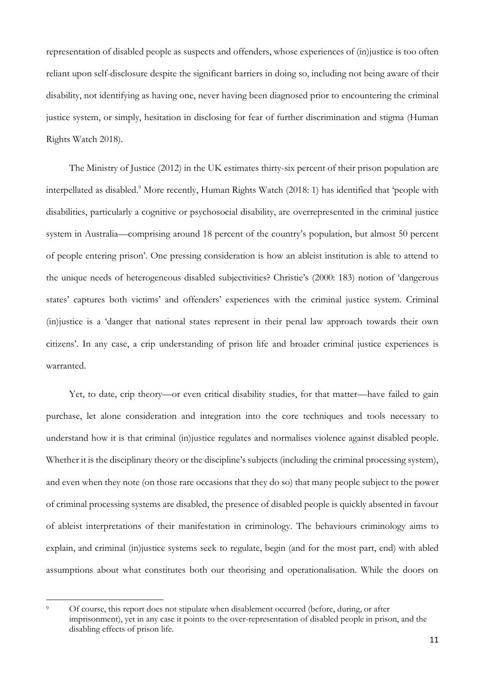representation of disabled people as suspects and offenders, whose experiences of (in)justice is too often reliant upon self-disclosure despite the significant barriers in doing so, including not being aware of their disability, not identifying as having one, never having been diagnosed prior to encountering the criminal justice system, or simply, hesitation in disclosing for fear of further discrimination and stigma (Human Rights Watch 2018).

The Ministry of Justice (2012) in the UK estimates thirty-six percent of their prison population are interpellated as disabled.<sup>9</sup> More recently, Human Rights Watch (2018: 1) has identified that 'people with disabilities, particularly a cognitive or psychosocial disability, are overrepresented in the criminal justice system in Australia—comprising around 18 percent of the country's population, but almost 50 percent of people entering prison'. One pressing consideration is how an ableist institution is able to attend to the unique needs of heterogeneous disabled subjectivities? Christie's (2000: 183) notion of 'dangerous states' captures both victims' and offenders' experiences with the criminal justice system. Criminal (in)justice is a 'danger that national states represent in their penal law approach towards their own citizens'. In any case, a crip understanding of prison life and broader criminal justice experiences is warranted.

Yet, to date, crip theory—or even critical disability studies, for that matter—have failed to gain purchase, let alone consideration and integration into the core techniques and tools necessary to understand how it is that criminal (in)justice regulates and normalises violence against disabled people. Whether it is the disciplinary theory or the discipline's subjects (including the criminal processing system), and even when they note (on those rare occasions that they do so) that many people subject to the power of criminal processing systems are disabled, the presence of disabled people is quickly absented in favour of ableist interpretations of their manifestation in criminology. The behaviours criminology aims to explain, and criminal (in)justice systems seek to regulate, begin (and for the most part, end) with abled assumptions about what constitutes both our theorising and operationalisation. While the doors on

<sup>&</sup>lt;sup>9</sup> Of course, this report does not stipulate when disablement occurred (before, during, or after imprisonment), yet in any case it points to the over-representation of disabled people in prison, and the disabling effects of prison life.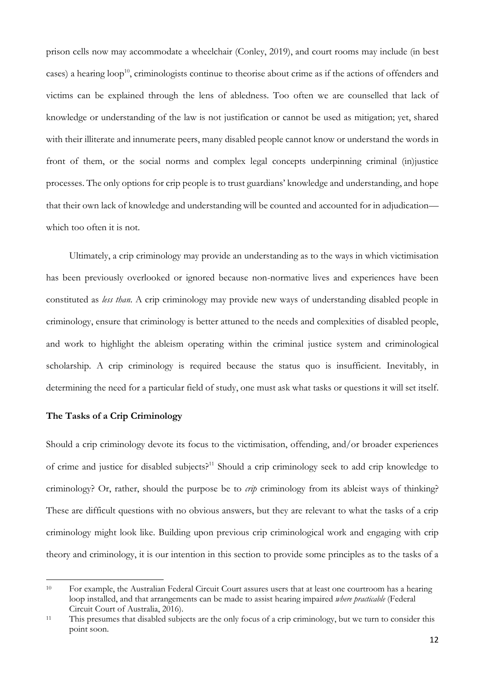prison cells now may accommodate a wheelchair (Conley, 2019), and court rooms may include (in best cases) a hearing  $loop^{10}$ , criminologists continue to theorise about crime as if the actions of offenders and victims can be explained through the lens of abledness. Too often we are counselled that lack of knowledge or understanding of the law is not justification or cannot be used as mitigation; yet, shared with their illiterate and innumerate peers, many disabled people cannot know or understand the words in front of them, or the social norms and complex legal concepts underpinning criminal (in)justice processes. The only options for crip people is to trust guardians' knowledge and understanding, and hope that their own lack of knowledge and understanding will be counted and accounted for in adjudication which too often it is not.

Ultimately, a crip criminology may provide an understanding as to the ways in which victimisation has been previously overlooked or ignored because non-normative lives and experiences have been constituted as *less than*. A crip criminology may provide new ways of understanding disabled people in criminology, ensure that criminology is better attuned to the needs and complexities of disabled people, and work to highlight the ableism operating within the criminal justice system and criminological scholarship. A crip criminology is required because the status quo is insufficient. Inevitably, in determining the need for a particular field of study, one must ask what tasks or questions it will set itself.

# **The Tasks of a Crip Criminology**

Should a crip criminology devote its focus to the victimisation, offending, and/or broader experiences of crime and justice for disabled subjects?<sup>11</sup> Should a crip criminology seek to add crip knowledge to criminology? Or, rather, should the purpose be to *crip* criminology from its ableist ways of thinking? These are difficult questions with no obvious answers, but they are relevant to what the tasks of a crip criminology might look like. Building upon previous crip criminological work and engaging with crip theory and criminology, it is our intention in this section to provide some principles as to the tasks of a

<sup>10</sup> For example, the Australian Federal Circuit Court assures users that at least one courtroom has a hearing loop installed, and that arrangements can be made to assist hearing impaired *where practicable* (Federal Circuit Court of Australia, 2016).

<sup>&</sup>lt;sup>11</sup> This presumes that disabled subjects are the only focus of a crip criminology, but we turn to consider this point soon.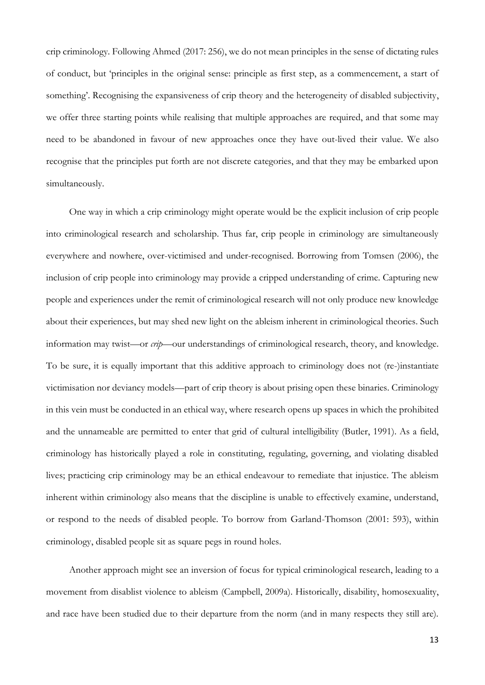crip criminology. Following Ahmed (2017: 256), we do not mean principles in the sense of dictating rules of conduct, but 'principles in the original sense: principle as first step, as a commencement, a start of something'. Recognising the expansiveness of crip theory and the heterogeneity of disabled subjectivity, we offer three starting points while realising that multiple approaches are required, and that some may need to be abandoned in favour of new approaches once they have out-lived their value. We also recognise that the principles put forth are not discrete categories, and that they may be embarked upon simultaneously.

One way in which a crip criminology might operate would be the explicit inclusion of crip people into criminological research and scholarship. Thus far, crip people in criminology are simultaneously everywhere and nowhere, over-victimised and under-recognised. Borrowing from Tomsen (2006), the inclusion of crip people into criminology may provide a cripped understanding of crime. Capturing new people and experiences under the remit of criminological research will not only produce new knowledge about their experiences, but may shed new light on the ableism inherent in criminological theories. Such information may twist—or *crip*—our understandings of criminological research, theory, and knowledge. To be sure, it is equally important that this additive approach to criminology does not (re-)instantiate victimisation nor deviancy models—part of crip theory is about prising open these binaries. Criminology in this vein must be conducted in an ethical way, where research opens up spaces in which the prohibited and the unnameable are permitted to enter that grid of cultural intelligibility (Butler, 1991). As a field, criminology has historically played a role in constituting, regulating, governing, and violating disabled lives; practicing crip criminology may be an ethical endeavour to remediate that injustice. The ableism inherent within criminology also means that the discipline is unable to effectively examine, understand, or respond to the needs of disabled people. To borrow from Garland-Thomson (2001: 593), within criminology, disabled people sit as square pegs in round holes.

Another approach might see an inversion of focus for typical criminological research, leading to a movement from disablist violence to ableism (Campbell, 2009a). Historically, disability, homosexuality, and race have been studied due to their departure from the norm (and in many respects they still are).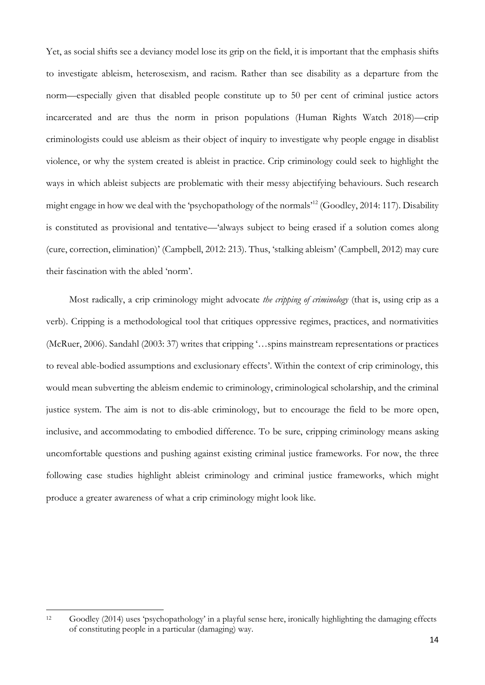Yet, as social shifts see a deviancy model lose its grip on the field, it is important that the emphasis shifts to investigate ableism, heterosexism, and racism. Rather than see disability as a departure from the norm—especially given that disabled people constitute up to 50 per cent of criminal justice actors incarcerated and are thus the norm in prison populations (Human Rights Watch 2018)—crip criminologists could use ableism as their object of inquiry to investigate why people engage in disablist violence, or why the system created is ableist in practice. Crip criminology could seek to highlight the ways in which ableist subjects are problematic with their messy abjectifying behaviours. Such research might engage in how we deal with the 'psychopathology of the normals'<sup>12</sup> (Goodley, 2014: 117). Disability is constituted as provisional and tentative—'always subject to being erased if a solution comes along (cure, correction, elimination)' (Campbell, 2012: 213). Thus, 'stalking ableism' (Campbell, 2012) may cure their fascination with the abled 'norm'.

Most radically, a crip criminology might advocate *the cripping of criminology* (that is, using crip as a verb). Cripping is a methodological tool that critiques oppressive regimes, practices, and normativities (McRuer, 2006). Sandahl (2003: 37) writes that cripping '…spins mainstream representations or practices to reveal able-bodied assumptions and exclusionary effects'. Within the context of crip criminology, this would mean subverting the ableism endemic to criminology, criminological scholarship, and the criminal justice system. The aim is not to dis-able criminology, but to encourage the field to be more open, inclusive, and accommodating to embodied difference. To be sure, cripping criminology means asking uncomfortable questions and pushing against existing criminal justice frameworks. For now, the three following case studies highlight ableist criminology and criminal justice frameworks, which might produce a greater awareness of what a crip criminology might look like.

<sup>12</sup> Goodley (2014) uses 'psychopathology' in a playful sense here, ironically highlighting the damaging effects of constituting people in a particular (damaging) way.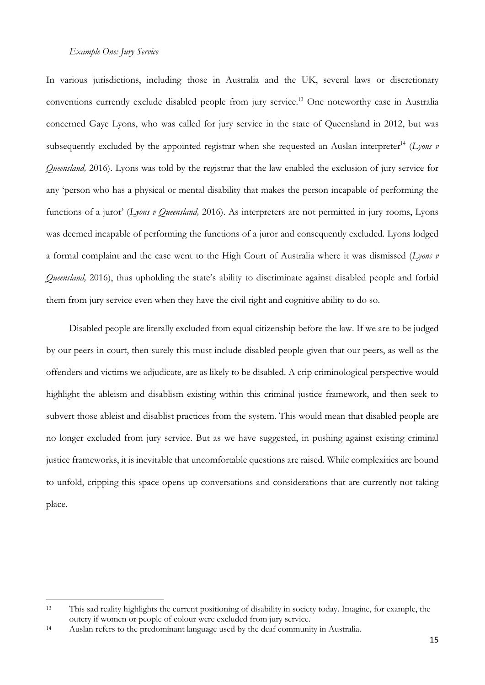### *Example One: Jury Service*

In various jurisdictions, including those in Australia and the UK, several laws or discretionary conventions currently exclude disabled people from jury service.<sup>13</sup> One noteworthy case in Australia concerned Gaye Lyons, who was called for jury service in the state of Queensland in 2012, but was subsequently excluded by the appointed registrar when she requested an Auslan interpreter<sup>14</sup> ( $Lyons$   $v$ *Queensland,* 2016). Lyons was told by the registrar that the law enabled the exclusion of jury service for any 'person who has a physical or mental disability that makes the person incapable of performing the functions of a juror' (*Lyons v Queensland,* 2016). As interpreters are not permitted in jury rooms, Lyons was deemed incapable of performing the functions of a juror and consequently excluded. Lyons lodged a formal complaint and the case went to the High Court of Australia where it was dismissed (*Lyons v Queensland,* 2016), thus upholding the state's ability to discriminate against disabled people and forbid them from jury service even when they have the civil right and cognitive ability to do so.

Disabled people are literally excluded from equal citizenship before the law. If we are to be judged by our peers in court, then surely this must include disabled people given that our peers, as well as the offenders and victims we adjudicate, are as likely to be disabled. A crip criminological perspective would highlight the ableism and disablism existing within this criminal justice framework, and then seek to subvert those ableist and disablist practices from the system. This would mean that disabled people are no longer excluded from jury service. But as we have suggested, in pushing against existing criminal justice frameworks, it is inevitable that uncomfortable questions are raised. While complexities are bound to unfold, cripping this space opens up conversations and considerations that are currently not taking place.

<sup>13</sup> This sad reality highlights the current positioning of disability in society today. Imagine, for example, the outcry if women or people of colour were excluded from jury service.

<sup>14</sup> Auslan refers to the predominant language used by the deaf community in Australia.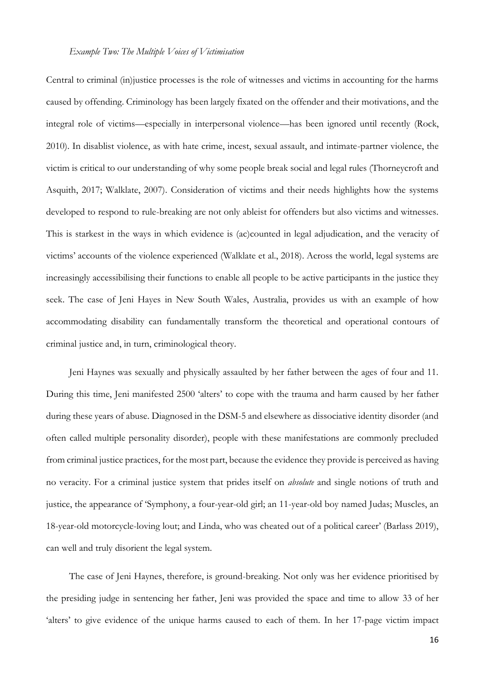### *Example Two: The Multiple Voices of Victimisation*

Central to criminal (in)justice processes is the role of witnesses and victims in accounting for the harms caused by offending. Criminology has been largely fixated on the offender and their motivations, and the integral role of victims—especially in interpersonal violence—has been ignored until recently (Rock, 2010). In disablist violence, as with hate crime, incest, sexual assault, and intimate-partner violence, the victim is critical to our understanding of why some people break social and legal rules (Thorneycroft and Asquith, 2017; Walklate, 2007). Consideration of victims and their needs highlights how the systems developed to respond to rule-breaking are not only ableist for offenders but also victims and witnesses. This is starkest in the ways in which evidence is (ac)counted in legal adjudication, and the veracity of victims' accounts of the violence experienced (Walklate et al., 2018). Across the world, legal systems are increasingly accessibilising their functions to enable all people to be active participants in the justice they seek. The case of Jeni Hayes in New South Wales, Australia, provides us with an example of how accommodating disability can fundamentally transform the theoretical and operational contours of criminal justice and, in turn, criminological theory.

Jeni Haynes was sexually and physically assaulted by her father between the ages of four and 11. During this time, Jeni manifested 2500 'alters' to cope with the trauma and harm caused by her father during these years of abuse. Diagnosed in the DSM-5 and elsewhere as dissociative identity disorder (and often called multiple personality disorder), people with these manifestations are commonly precluded from criminal justice practices, for the most part, because the evidence they provide is perceived as having no veracity. For a criminal justice system that prides itself on *absolute* and single notions of truth and justice, the appearance of 'Symphony, a four-year-old girl; an 11-year-old boy named Judas; Muscles, an 18-year-old motorcycle-loving lout; and Linda, who was cheated out of a political career' (Barlass 2019), can well and truly disorient the legal system.

The case of Jeni Haynes, therefore, is ground-breaking. Not only was her evidence prioritised by the presiding judge in sentencing her father, Jeni was provided the space and time to allow 33 of her 'alters' to give evidence of the unique harms caused to each of them. In her 17-page victim impact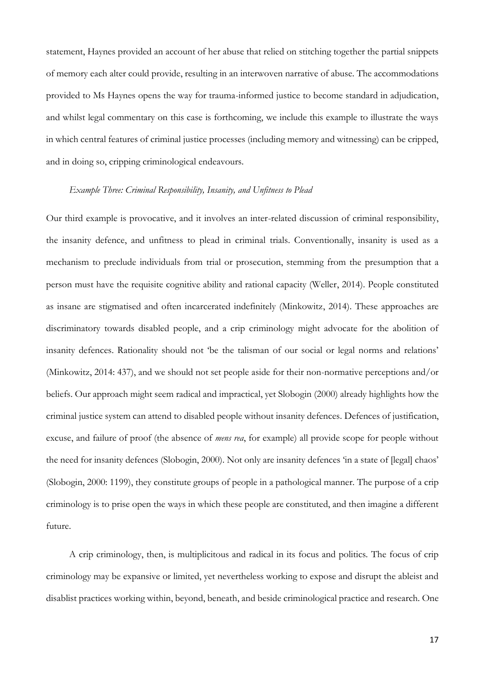statement, Haynes provided an account of her abuse that relied on stitching together the partial snippets of memory each alter could provide, resulting in an interwoven narrative of abuse. The accommodations provided to Ms Haynes opens the way for trauma-informed justice to become standard in adjudication, and whilst legal commentary on this case is forthcoming, we include this example to illustrate the ways in which central features of criminal justice processes (including memory and witnessing) can be cripped, and in doing so, cripping criminological endeavours.

#### *Example Three: Criminal Responsibility, Insanity, and Unfitness to Plead*

Our third example is provocative, and it involves an inter-related discussion of criminal responsibility, the insanity defence, and unfitness to plead in criminal trials. Conventionally, insanity is used as a mechanism to preclude individuals from trial or prosecution, stemming from the presumption that a person must have the requisite cognitive ability and rational capacity (Weller, 2014). People constituted as insane are stigmatised and often incarcerated indefinitely (Minkowitz, 2014). These approaches are discriminatory towards disabled people, and a crip criminology might advocate for the abolition of insanity defences. Rationality should not 'be the talisman of our social or legal norms and relations' (Minkowitz, 2014: 437), and we should not set people aside for their non-normative perceptions and/or beliefs. Our approach might seem radical and impractical, yet Slobogin (2000) already highlights how the criminal justice system can attend to disabled people without insanity defences. Defences of justification, excuse, and failure of proof (the absence of *mens rea*, for example) all provide scope for people without the need for insanity defences (Slobogin, 2000). Not only are insanity defences 'in a state of [legal] chaos' (Slobogin, 2000: 1199), they constitute groups of people in a pathological manner. The purpose of a crip criminology is to prise open the ways in which these people are constituted, and then imagine a different future.

A crip criminology, then, is multiplicitous and radical in its focus and politics. The focus of crip criminology may be expansive or limited, yet nevertheless working to expose and disrupt the ableist and disablist practices working within, beyond, beneath, and beside criminological practice and research. One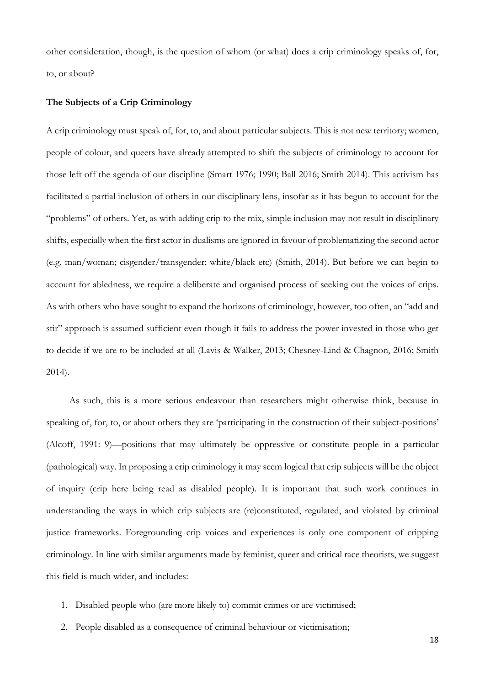other consideration, though, is the question of whom (or what) does a crip criminology speaks of, for, to, or about?

# **The Subjects of a Crip Criminology**

A crip criminology must speak of, for, to, and about particular subjects. This is not new territory; women, people of colour, and queers have already attempted to shift the subjects of criminology to account for those left off the agenda of our discipline (Smart 1976; 1990; Ball 2016; Smith 2014). This activism has facilitated a partial inclusion of others in our disciplinary lens, insofar as it has begun to account for the "problems" of others. Yet, as with adding crip to the mix, simple inclusion may not result in disciplinary shifts, especially when the first actor in dualisms are ignored in favour of problematizing the second actor (e.g. man/woman; cisgender/transgender; white/black etc) (Smith, 2014). But before we can begin to account for abledness, we require a deliberate and organised process of seeking out the voices of crips. As with others who have sought to expand the horizons of criminology, however, too often, an "add and stir" approach is assumed sufficient even though it fails to address the power invested in those who get to decide if we are to be included at all (Lavis & Walker, 2013; Chesney-Lind & Chagnon, 2016; Smith 2014).

As such, this is a more serious endeavour than researchers might otherwise think, because in speaking of, for, to, or about others they are 'participating in the construction of their subject-positions' (Alcoff, 1991: 9)—positions that may ultimately be oppressive or constitute people in a particular (pathological) way. In proposing a crip criminology it may seem logical that crip subjects will be the object of inquiry (crip here being read as disabled people). It is important that such work continues in understanding the ways in which crip subjects are (re)constituted, regulated, and violated by criminal justice frameworks. Foregrounding crip voices and experiences is only one component of cripping criminology. In line with similar arguments made by feminist, queer and critical race theorists, we suggest this field is much wider, and includes:

- 1. Disabled people who (are more likely to) commit crimes or are victimised;
- 2. People disabled as a consequence of criminal behaviour or victimisation;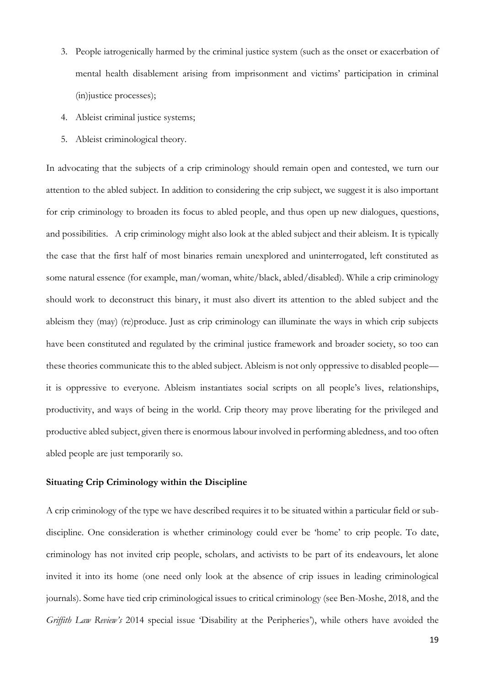- 3. People iatrogenically harmed by the criminal justice system (such as the onset or exacerbation of mental health disablement arising from imprisonment and victims' participation in criminal (in)justice processes);
- 4. Ableist criminal justice systems;
- 5. Ableist criminological theory.

In advocating that the subjects of a crip criminology should remain open and contested, we turn our attention to the abled subject. In addition to considering the crip subject, we suggest it is also important for crip criminology to broaden its focus to abled people, and thus open up new dialogues, questions, and possibilities. A crip criminology might also look at the abled subject and their ableism. It is typically the case that the first half of most binaries remain unexplored and uninterrogated, left constituted as some natural essence (for example, man/woman, white/black, abled/disabled). While a crip criminology should work to deconstruct this binary, it must also divert its attention to the abled subject and the ableism they (may) (re)produce. Just as crip criminology can illuminate the ways in which crip subjects have been constituted and regulated by the criminal justice framework and broader society, so too can these theories communicate this to the abled subject. Ableism is not only oppressive to disabled people it is oppressive to everyone. Ableism instantiates social scripts on all people's lives, relationships, productivity, and ways of being in the world. Crip theory may prove liberating for the privileged and productive abled subject, given there is enormous labour involved in performing abledness, and too often abled people are just temporarily so.

### **Situating Crip Criminology within the Discipline**

A crip criminology of the type we have described requires it to be situated within a particular field or subdiscipline. One consideration is whether criminology could ever be 'home' to crip people. To date, criminology has not invited crip people, scholars, and activists to be part of its endeavours, let alone invited it into its home (one need only look at the absence of crip issues in leading criminological journals). Some have tied crip criminological issues to critical criminology (see Ben-Moshe, 2018, and the *Griffith Law Review's* 2014 special issue 'Disability at the Peripheries'), while others have avoided the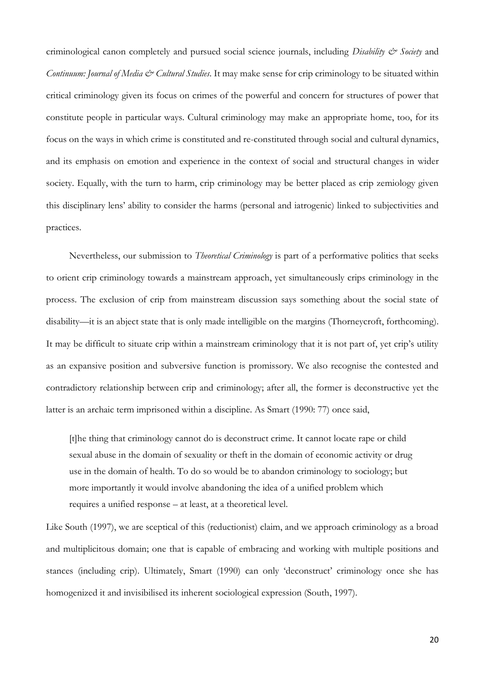criminological canon completely and pursued social science journals, including *Disability & Society* and *Continuum: Journal of Media & Cultural Studies*. It may make sense for crip criminology to be situated within critical criminology given its focus on crimes of the powerful and concern for structures of power that constitute people in particular ways. Cultural criminology may make an appropriate home, too, for its focus on the ways in which crime is constituted and re-constituted through social and cultural dynamics, and its emphasis on emotion and experience in the context of social and structural changes in wider society. Equally, with the turn to harm, crip criminology may be better placed as crip zemiology given this disciplinary lens' ability to consider the harms (personal and iatrogenic) linked to subjectivities and practices.

Nevertheless, our submission to *Theoretical Criminology* is part of a performative politics that seeks to orient crip criminology towards a mainstream approach, yet simultaneously crips criminology in the process. The exclusion of crip from mainstream discussion says something about the social state of disability—it is an abject state that is only made intelligible on the margins (Thorneycroft, forthcoming). It may be difficult to situate crip within a mainstream criminology that it is not part of, yet crip's utility as an expansive position and subversive function is promissory. We also recognise the contested and contradictory relationship between crip and criminology; after all, the former is deconstructive yet the latter is an archaic term imprisoned within a discipline. As Smart (1990: 77) once said,

[t]he thing that criminology cannot do is deconstruct crime. It cannot locate rape or child sexual abuse in the domain of sexuality or theft in the domain of economic activity or drug use in the domain of health. To do so would be to abandon criminology to sociology; but more importantly it would involve abandoning the idea of a unified problem which requires a unified response – at least, at a theoretical level.

Like South (1997), we are sceptical of this (reductionist) claim, and we approach criminology as a broad and multiplicitous domain; one that is capable of embracing and working with multiple positions and stances (including crip). Ultimately, Smart (1990) can only 'deconstruct' criminology once she has homogenized it and invisibilised its inherent sociological expression (South, 1997).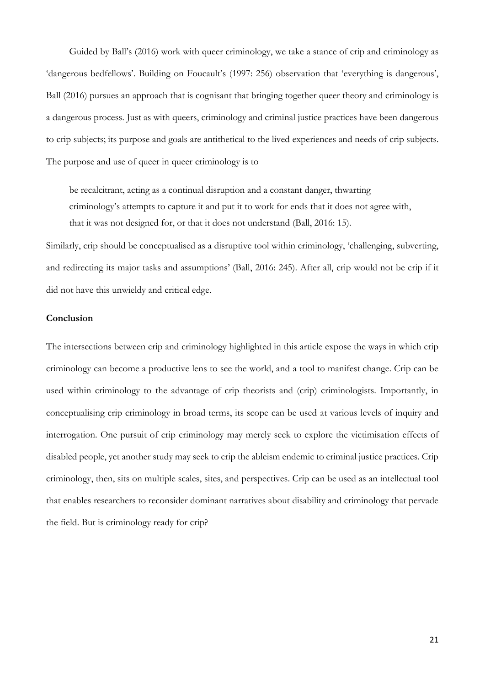Guided by Ball's (2016) work with queer criminology, we take a stance of crip and criminology as 'dangerous bedfellows'. Building on Foucault's (1997: 256) observation that 'everything is dangerous', Ball (2016) pursues an approach that is cognisant that bringing together queer theory and criminology is a dangerous process. Just as with queers, criminology and criminal justice practices have been dangerous to crip subjects; its purpose and goals are antithetical to the lived experiences and needs of crip subjects. The purpose and use of queer in queer criminology is to

be recalcitrant, acting as a continual disruption and a constant danger, thwarting criminology's attempts to capture it and put it to work for ends that it does not agree with, that it was not designed for, or that it does not understand (Ball, 2016: 15).

Similarly, crip should be conceptualised as a disruptive tool within criminology, 'challenging, subverting, and redirecting its major tasks and assumptions' (Ball, 2016: 245). After all, crip would not be crip if it did not have this unwieldy and critical edge.

# **Conclusion**

The intersections between crip and criminology highlighted in this article expose the ways in which crip criminology can become a productive lens to see the world, and a tool to manifest change. Crip can be used within criminology to the advantage of crip theorists and (crip) criminologists. Importantly, in conceptualising crip criminology in broad terms, its scope can be used at various levels of inquiry and interrogation. One pursuit of crip criminology may merely seek to explore the victimisation effects of disabled people, yet another study may seek to crip the ableism endemic to criminal justice practices. Crip criminology, then, sits on multiple scales, sites, and perspectives. Crip can be used as an intellectual tool that enables researchers to reconsider dominant narratives about disability and criminology that pervade the field. But is criminology ready for crip?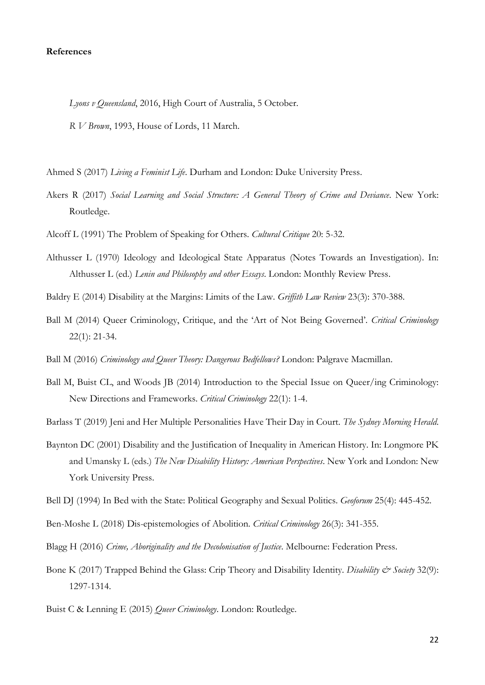### **References**

*Lyons v Queensland*, 2016, High Court of Australia, 5 October.

*R V Brown*, 1993, House of Lords, 11 March.

- Ahmed S (2017) *Living a Feminist Life*. Durham and London: Duke University Press.
- Akers R (2017) *Social Learning and Social Structure: A General Theory of Crime and Deviance*. New York: Routledge.
- Alcoff L (1991) The Problem of Speaking for Others. *Cultural Critique* 20: 5-32.
- Althusser L (1970) Ideology and Ideological State Apparatus (Notes Towards an Investigation). In: Althusser L (ed.) *Lenin and Philosophy and other Essays*. London: Monthly Review Press.
- Baldry E (2014) Disability at the Margins: Limits of the Law. *Griffith Law Review* 23(3): 370-388.
- Ball M (2014) Queer Criminology, Critique, and the 'Art of Not Being Governed'. *Critical Criminology* 22(1): 21-34.
- Ball M (2016) *Criminology and Queer Theory: Dangerous Bedfellows?* London: Palgrave Macmillan.
- Ball M, Buist CL, and Woods JB (2014) Introduction to the Special Issue on Queer/ing Criminology: New Directions and Frameworks. *Critical Criminology* 22(1): 1-4.

Barlass T (2019) Jeni and Her Multiple Personalities Have Their Day in Court. *The Sydney Morning Herald*.

- Baynton DC (2001) Disability and the Justification of Inequality in American History. In: Longmore PK and Umansky L (eds.) *The New Disability History: American Perspectives*. New York and London: New York University Press.
- Bell DJ (1994) In Bed with the State: Political Geography and Sexual Politics. *Geoforum* 25(4): 445-452.
- Ben-Moshe L (2018) Dis-epistemologies of Abolition. *Critical Criminology* 26(3): 341-355.
- Blagg H (2016) *Crime, Aboriginality and the Decolonisation of Justice*. Melbourne: Federation Press.
- Bone K (2017) Trapped Behind the Glass: Crip Theory and Disability Identity. *Disability & Society* 32(9): 1297-1314.
- Buist C & Lenning E (2015) *Queer Criminology*. London: Routledge.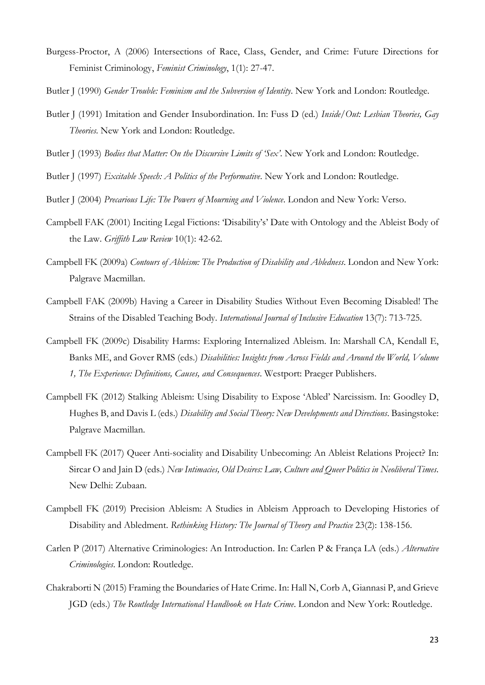- Burgess-Proctor, A (2006) Intersections of Race, Class, Gender, and Crime: Future Directions for Feminist Criminology, *Feminist Criminology*, 1(1): 27-47.
- Butler J (1990) *Gender Trouble: Feminism and the Subversion of Identity*. New York and London: Routledge.
- Butler J (1991) Imitation and Gender Insubordination. In: Fuss D (ed.) *Inside/Out: Lesbian Theories, Gay Theories*. New York and London: Routledge.
- Butler J (1993) *Bodies that Matter: On the Discursive Limits of 'Sex'*. New York and London: Routledge.
- Butler J (1997) *Excitable Speech: A Politics of the Performative*. New York and London: Routledge.
- Butler J (2004) *Precarious Life: The Powers of Mourning and Violence*. London and New York: Verso.
- Campbell FAK (2001) Inciting Legal Fictions: 'Disability's' Date with Ontology and the Ableist Body of the Law. *Griffith Law Review* 10(1): 42-62.
- Campbell FK (2009a) *Contours of Ableism: The Production of Disability and Abledness*. London and New York: Palgrave Macmillan.
- Campbell FAK (2009b) Having a Career in Disability Studies Without Even Becoming Disabled! The Strains of the Disabled Teaching Body. *International Journal of Inclusive Education* 13(7): 713-725.
- Campbell FK (2009c) Disability Harms: Exploring Internalized Ableism. In: Marshall CA, Kendall E, Banks ME, and Gover RMS (eds.) *Disabilities: Insights from Across Fields and Around the World, Volume 1, The Experience: Definitions, Causes, and Consequences*. Westport: Praeger Publishers.
- Campbell FK (2012) Stalking Ableism: Using Disability to Expose 'Abled' Narcissism. In: Goodley D, Hughes B, and Davis L (eds.) *Disability and Social Theory: New Developments and Directions*. Basingstoke: Palgrave Macmillan.
- Campbell FK (2017) Queer Anti-sociality and Disability Unbecoming: An Ableist Relations Project? In: Sircar O and Jain D (eds.) *New Intimacies, Old Desires: Law, Culture and Queer Politics in Neoliberal Times*. New Delhi: Zubaan.
- Campbell FK (2019) Precision Ableism: A Studies in Ableism Approach to Developing Histories of Disability and Abledment. *Rethinking History: The Journal of Theory and Practice* 23(2): 138-156.
- Carlen P (2017) Alternative Criminologies: An Introduction. In: Carlen P & França LA (eds.) *Alternative Criminologies*. London: Routledge.
- Chakraborti N (2015) Framing the Boundaries of Hate Crime. In: Hall N, Corb A, Giannasi P, and Grieve JGD (eds.) *The Routledge International Handbook on Hate Crime*. London and New York: Routledge.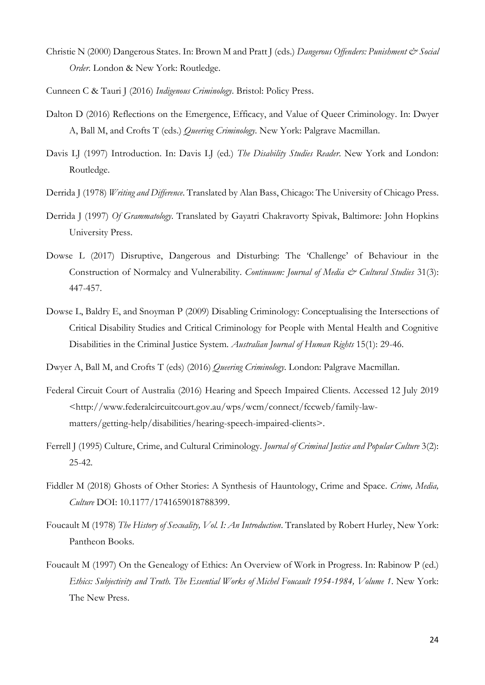- Christie N (2000) Dangerous States. In: Brown M and Pratt J (eds.) *Dangerous Offenders: Punishment & Social Order*. London & New York: Routledge.
- Cunneen C & Tauri J (2016) *Indigenous Criminology*. Bristol: Policy Press.
- Dalton D (2016) Reflections on the Emergence, Efficacy, and Value of Queer Criminology. In: Dwyer A, Ball M, and Crofts T (eds.) *Queering Criminology*. New York: Palgrave Macmillan.
- Davis LJ (1997) Introduction. In: Davis LJ (ed.) *The Disability Studies Reader*. New York and London: Routledge.
- Derrida J (1978) *Writing and Difference*. Translated by Alan Bass, Chicago: The University of Chicago Press.
- Derrida J (1997) *Of Grammatology*. Translated by Gayatri Chakravorty Spivak, Baltimore: John Hopkins University Press.
- Dowse L (2017) Disruptive, Dangerous and Disturbing: The 'Challenge' of Behaviour in the Construction of Normalcy and Vulnerability. *Continuum: Journal of Media & Cultural Studies* 31(3): 447-457.
- Dowse L, Baldry E, and Snoyman P (2009) Disabling Criminology: Conceptualising the Intersections of Critical Disability Studies and Critical Criminology for People with Mental Health and Cognitive Disabilities in the Criminal Justice System. *Australian Journal of Human Rights* 15(1): 29-46.
- Dwyer A, Ball M, and Crofts T (eds) (2016) *Queering Criminology*. London: Palgrave Macmillan.
- Federal Circuit Court of Australia (2016) Hearing and Speech Impaired Clients. Accessed 12 July 2019 <http://www.federalcircuitcourt.gov.au/wps/wcm/connect/fccweb/family-lawmatters/getting-help/disabilities/hearing-speech-impaired-clients>.
- Ferrell J (1995) Culture, Crime, and Cultural Criminology. *Journal of Criminal Justice and Popular Culture* 3(2): 25-42.
- Fiddler M (2018) Ghosts of Other Stories: A Synthesis of Hauntology, Crime and Space. *Crime, Media, Culture* DOI: 10.1177/1741659018788399.
- Foucault M (1978) *The History of Sexuality, Vol. I: An Introduction*. Translated by Robert Hurley, New York: Pantheon Books.
- Foucault M (1997) On the Genealogy of Ethics: An Overview of Work in Progress. In: Rabinow P (ed.) *Ethics: Subjectivity and Truth. The Essential Works of Michel Foucault 1954-1984, Volume 1*. New York: The New Press.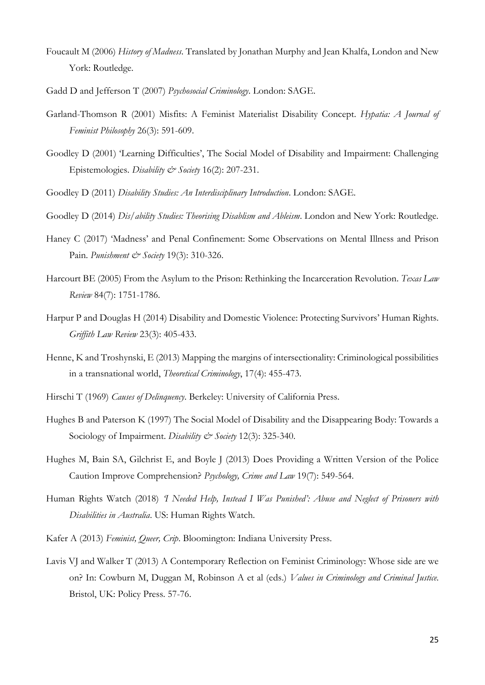- Foucault M (2006) *History of Madness*. Translated by Jonathan Murphy and Jean Khalfa, London and New York: Routledge.
- Gadd D and Jefferson T (2007) *Psychosocial Criminology*. London: SAGE.
- Garland-Thomson R (2001) Misfits: A Feminist Materialist Disability Concept. *Hypatia: A Journal of Feminist Philosophy* 26(3): 591-609.
- Goodley D (2001) 'Learning Difficulties', The Social Model of Disability and Impairment: Challenging Epistemologies. *Disability & Society* 16(2): 207-231.
- Goodley D (2011) *Disability Studies: An Interdisciplinary Introduction*. London: SAGE.
- Goodley D (2014) *Dis/ability Studies: Theorising Disablism and Ableism*. London and New York: Routledge.
- Haney C (2017) 'Madness' and Penal Confinement: Some Observations on Mental Illness and Prison Pain. *Punishment & Society* 19(3): 310-326.
- Harcourt BE (2005) From the Asylum to the Prison: Rethinking the Incarceration Revolution. *Texas Law Review* 84(7): 1751-1786.
- Harpur P and Douglas H (2014) Disability and Domestic Violence: Protecting Survivors' Human Rights. *Griffith Law Review* 23(3): 405-433.
- Henne, K and Troshynski, E (2013) Mapping the margins of intersectionality: Criminological possibilities in a transnational world, *Theoretical Criminology*, 17(4): 455-473.
- Hirschi T (1969) *Causes of Delinquency*. Berkeley: University of California Press.
- Hughes B and Paterson K (1997) The Social Model of Disability and the Disappearing Body: Towards a Sociology of Impairment. *Disability & Society* 12(3): 325-340.
- Hughes M, Bain SA, Gilchrist E, and Boyle J (2013) Does Providing a Written Version of the Police Caution Improve Comprehension? *Psychology, Crime and Law* 19(7): 549-564.
- Human Rights Watch (2018) *'I Needed Help, Instead I Was Punished': Abuse and Neglect of Prisoners with Disabilities in Australia*. US: Human Rights Watch.
- Kafer A (2013) *Feminist, Queer, Crip*. Bloomington: Indiana University Press.
- Lavis VJ and Walker T (2013) A Contemporary Reflection on Feminist Criminology: Whose side are we on? In: Cowburn M, Duggan M, Robinson A et al (eds.) *Values in Criminology and Criminal Justice*. Bristol, UK: Policy Press. 57-76.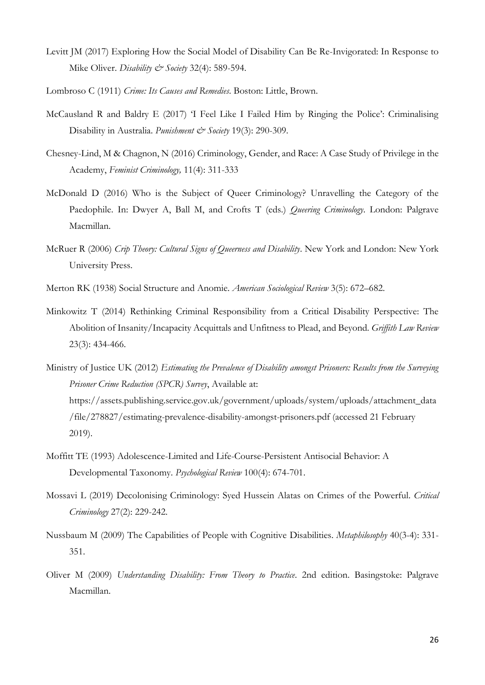- Levitt JM (2017) Exploring How the Social Model of Disability Can Be Re-Invigorated: In Response to Mike Oliver. *Disability & Society* 32(4): 589-594.
- Lombroso C (1911) *Crime: Its Causes and Remedies*. Boston: Little, Brown.
- McCausland R and Baldry E (2017) 'I Feel Like I Failed Him by Ringing the Police': Criminalising Disability in Australia. *Punishment & Society* 19(3): 290-309.
- Chesney-Lind, M & Chagnon, N (2016) Criminology, Gender, and Race: A Case Study of Privilege in the Academy, *Feminist Criminology,* 11(4): 311-333
- McDonald D (2016) Who is the Subject of Queer Criminology? Unravelling the Category of the Paedophile. In: Dwyer A, Ball M, and Crofts T (eds.) *Queering Criminology*. London: Palgrave Macmillan.
- McRuer R (2006) *Crip Theory: Cultural Signs of Queerness and Disability*. New York and London: New York University Press.
- Merton RK (1938) Social Structure and Anomie. *American Sociological Review* 3(5): 672–682.
- Minkowitz T (2014) Rethinking Criminal Responsibility from a Critical Disability Perspective: The Abolition of Insanity/Incapacity Acquittals and Unfitness to Plead, and Beyond. *Griffith Law Review* 23(3): 434-466.
- Ministry of Justice UK (2012) *Estimating the Prevalence of Disability amongst Prisoners: Results from the Surveying Prisoner Crime Reduction (SPCR) Survey*, Available at: https://assets.publishing.service.gov.uk/government/uploads/system/uploads/attachment\_data /file/278827/estimating-prevalence-disability-amongst-prisoners.pdf (accessed 21 February 2019).
- Moffitt TE (1993) Adolescence-Limited and Life-Course-Persistent Antisocial Behavior: A Developmental Taxonomy. *Psychological Review* 100(4): 674-701.
- Mossavi L (2019) Decolonising Criminology: Syed Hussein Alatas on Crimes of the Powerful. *Critical Criminology* 27(2): 229-242.
- Nussbaum M (2009) The Capabilities of People with Cognitive Disabilities. *Metaphilosophy* 40(3-4): 331- 351.
- Oliver M (2009) *Understanding Disability: From Theory to Practice*. 2nd edition. Basingstoke: Palgrave Macmillan.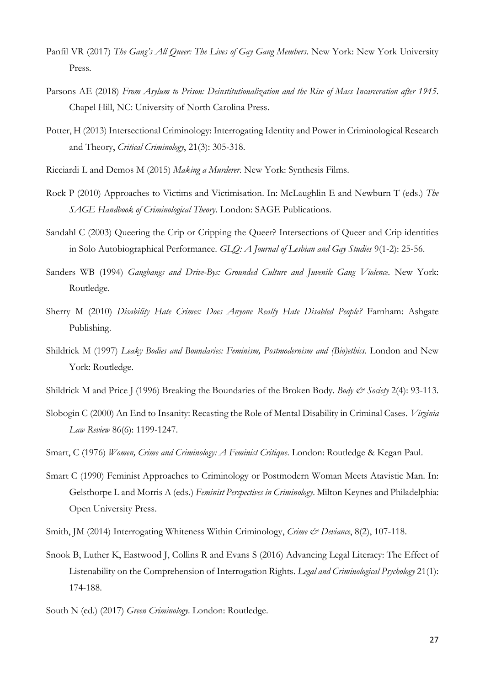- Panfil VR (2017) *The Gang's All Queer: The Lives of Gay Gang Members*. New York: New York University Press.
- Parsons AE (2018) *From Asylum to Prison: Deinstitutionalization and the Rise of Mass Incarceration after 1945*. Chapel Hill, NC: University of North Carolina Press.
- Potter, H (2013) Intersectional Criminology: Interrogating Identity and Power in Criminological Research and Theory, *Critical Criminology*, 21(3): 305-318.
- Ricciardi L and Demos M (2015) *Making a Murderer*. New York: Synthesis Films.
- Rock P (2010) Approaches to Victims and Victimisation. In: McLaughlin E and Newburn T (eds.) *The SAGE Handbook of Criminological Theory*. London: SAGE Publications.
- Sandahl C (2003) Queering the Crip or Cripping the Queer? Intersections of Queer and Crip identities in Solo Autobiographical Performance. *GLQ: A Journal of Lesbian and Gay Studies* 9(1-2): 25-56.
- Sanders WB (1994) *Gangbangs and Drive-Bys: Grounded Culture and Juvenile Gang Violence*. New York: Routledge.
- Sherry M (2010) *Disability Hate Crimes: Does Anyone Really Hate Disabled People?* Farnham: Ashgate Publishing.
- Shildrick M (1997) *Leaky Bodies and Boundaries: Feminism, Postmodernism and (Bio)ethics*. London and New York: Routledge.
- Shildrick M and Price J (1996) Breaking the Boundaries of the Broken Body. *Body & Society* 2(4): 93-113.
- Slobogin C (2000) An End to Insanity: Recasting the Role of Mental Disability in Criminal Cases. *Virginia Law Review* 86(6): 1199-1247.
- Smart, C (1976) *Women, Crime and Criminology: A Feminist Critique*. London: Routledge & Kegan Paul.
- Smart C (1990) Feminist Approaches to Criminology or Postmodern Woman Meets Atavistic Man. In: Gelsthorpe L and Morris A (eds.) *Feminist Perspectives in Criminology*. Milton Keynes and Philadelphia: Open University Press.
- Smith, JM (2014) Interrogating Whiteness Within Criminology, *Crime & Deviance*, 8(2), 107-118.
- Snook B, Luther K, Eastwood J, Collins R and Evans S (2016) Advancing Legal Literacy: The Effect of Listenability on the Comprehension of Interrogation Rights. *Legal and Criminological Psychology* 21(1): 174-188.
- South N (ed.) (2017) *Green Criminology*. London: Routledge.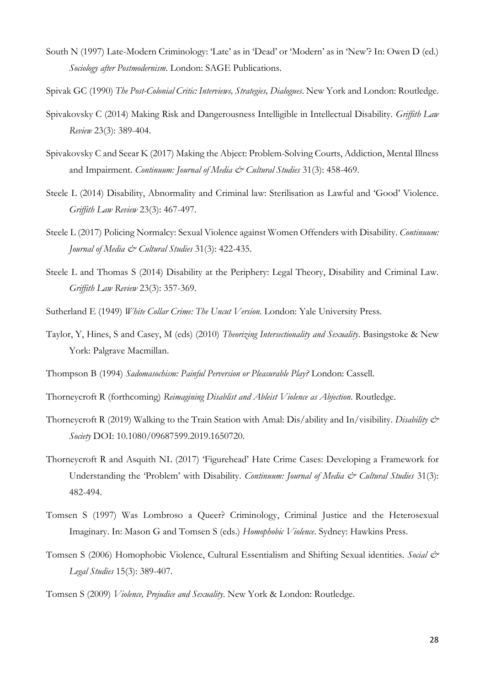- South N (1997) Late-Modern Criminology: 'Late' as in 'Dead' or 'Modern' as in 'New'? In: Owen D (ed.) *Sociology after Postmodernism*. London: SAGE Publications.
- Spivak GC (1990) *The Post-Colonial Critic: Interviews, Strategies, Dialogues*. New York and London: Routledge.
- Spivakovsky C (2014) Making Risk and Dangerousness Intelligible in Intellectual Disability. *Griffith Law Review* 23(3): 389-404.
- Spivakovsky C and Seear K (2017) Making the Abject: Problem-Solving Courts, Addiction, Mental Illness and Impairment. *Continuum: Journal of Media & Cultural Studies* 31(3): 458-469.
- Steele L (2014) Disability, Abnormality and Criminal law: Sterilisation as Lawful and 'Good' Violence. *Griffith Law Review* 23(3): 467-497.
- Steele L (2017) Policing Normalcy: Sexual Violence against Women Offenders with Disability. *Continuum: Journal of Media & Cultural Studies* 31(3): 422-435.
- Steele L and Thomas S (2014) Disability at the Periphery: Legal Theory, Disability and Criminal Law. *Griffith Law Review* 23(3): 357-369.
- Sutherland E (1949) *White Collar Crime: The Uncut Version*. London: Yale University Press.
- Taylor, Y, Hines, S and Casey, M (eds) (2010) *Theorizing Intersectionality and Sexuality*. Basingstoke & New York: Palgrave Macmillan.
- Thompson B (1994) *Sadomasochism: Painful Perversion or Pleasurable Play?* London: Cassell.
- Thorneycroft R (forthcoming) *Reimagining Disablist and Ableist Violence as Abjection*. Routledge.
- Thorneycroft R (2019) Walking to the Train Station with Amal: Dis/ability and In/visibility. *Disability & Society* DOI: 10.1080/09687599.2019.1650720.
- Thorneycroft R and Asquith NL (2017) 'Figurehead' Hate Crime Cases: Developing a Framework for Understanding the 'Problem' with Disability. *Continuum: Journal of Media & Cultural Studies* 31(3): 482-494.
- Tomsen S (1997) Was Lombroso a Queer? Criminology, Criminal Justice and the Heterosexual Imaginary. In: Mason G and Tomsen S (eds.) *Homophobic Violence*. Sydney: Hawkins Press.
- Tomsen S (2006) Homophobic Violence, Cultural Essentialism and Shifting Sexual identities. *Social & Legal Studies* 15(3): 389-407.
- Tomsen S (2009) *Violence, Prejudice and Sexuality*. New York & London: Routledge.